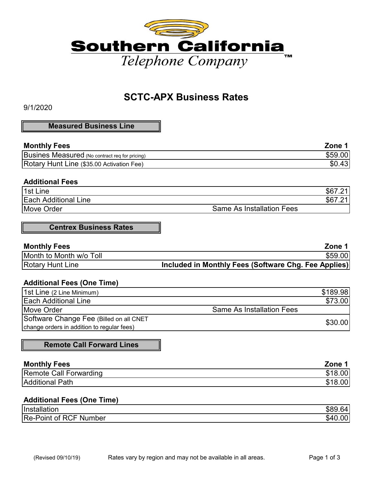

# **SCTC-APX Business Rates**

9/1/2020

#### **Measured Business Line**

| <b>Monthly Fees</b>                            | Zone    |
|------------------------------------------------|---------|
| Busines Measured (No contract reg for pricing) | \$59.00 |
| Rotary Hunt Line (\$35.00 Activation Fee)      | \$0.43  |

#### **Additional Fees**

| 1st Line                    | - \$6                            |
|-----------------------------|----------------------------------|
| <b>Each Additional Line</b> | \$6<br>. .                       |
| Move Order                  | <b>Same As Installation Fees</b> |

## **Centrex Business Rates**

| <b>Monthly Fees</b>     | Zone 1                                               |
|-------------------------|------------------------------------------------------|
| Month to Month w/o Toll | \$59.00                                              |
| <b>Rotary Hunt Line</b> | Included in Monthly Fees (Software Chg. Fee Applies) |

### **Additional Fees (One Time)**

| 1st Line (2 Line Minimum)                  |                                  | \$189.98 |
|--------------------------------------------|----------------------------------|----------|
| <b>Each Additional Line</b>                |                                  | \$73.00  |
| Move Order                                 | <b>Same As Installation Fees</b> |          |
| Software Change Fee (Billed on all CNET    |                                  | \$30.00  |
| change orders in addition to regular fees) |                                  |          |

**Remote Call Forward Lines**

| <b>Monthly Fees</b>    | Zone            |
|------------------------|-----------------|
| Remote Call Forwarding | .00l            |
| <b>Additional Path</b> | 00 <sub>l</sub> |

## **Additional Fees (One Time)**

| Installation                                | .nr       |
|---------------------------------------------|-----------|
| Re-<br>R(<br>Number<br>ot.<br>⊦-Point<br>-- | ጦ<br>.ა⁄! |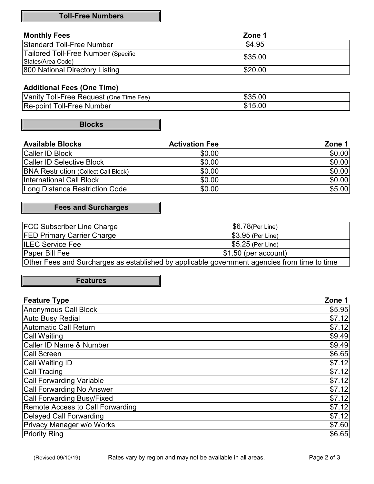## **Toll-Free Numbers**

| <b>Monthly Fees</b>                 | Zone 1  |
|-------------------------------------|---------|
| <b>Standard Toll-Free Number</b>    | \$4.95  |
| Tailored Toll-Free Number (Specific | \$35.00 |
| States/Area Code)                   |         |
| 800 National Directory Listing      | \$20.00 |

## **Additional Fees (One Time)**

| Vanity<br>Time Fee)<br>∶ (One<br>Request<br>oll-Free | \$35.00    |
|------------------------------------------------------|------------|
| Re-point                                             | 15.00      |
| oll-Free <sup>-</sup>                                | <b>415</b> |
| Number                                               | ۰D         |

**Blocks**

| <b>Available Blocks</b>                     | <b>Activation Fee</b> | Zone 1 |
|---------------------------------------------|-----------------------|--------|
| <b>Caller ID Block</b>                      | \$0.00                | \$0.00 |
| Caller ID Selective Block                   | \$0.00                | \$0.00 |
| <b>BNA Restriction (Collect Call Block)</b> | \$0.00                | \$0.00 |
| International Call Block                    | \$0.00                | \$0.00 |
| Long Distance Restriction Code              | \$0.00                | \$5.00 |

## **Fees and Surcharges**

| <b>FCC Subscriber Line Charge</b> | \$6.78(Per Line)                                                                             |
|-----------------------------------|----------------------------------------------------------------------------------------------|
| <b>FED Primary Carrier Charge</b> | \$3.95 (Per Line)                                                                            |
| <b>ILEC Service Fee</b>           | \$5.25 (Per Line)                                                                            |
| <b>Paper Bill Fee</b>             | $$1.50$ (per account)                                                                        |
|                                   | Other Fees and Surcharges as established by applicable government agencies from time to time |

## **Features**

| <b>Feature Type</b>                | Zone 1 |
|------------------------------------|--------|
| <b>Anonymous Call Block</b>        | \$5.95 |
| <b>Auto Busy Redial</b>            | \$7.12 |
| <b>Automatic Call Return</b>       | \$7.12 |
| <b>Call Waiting</b>                | \$9.49 |
| <b>Caller ID Name &amp; Number</b> | \$9.49 |
| <b>Call Screen</b>                 | \$6.65 |
| <b>Call Waiting ID</b>             | \$7.12 |
| <b>Call Tracing</b>                | \$7.12 |
| <b>Call Forwarding Variable</b>    | \$7.12 |
| <b>Call Forwarding No Answer</b>   | \$7.12 |
| <b>Call Forwarding Busy/Fixed</b>  | \$7.12 |
| Remote Access to Call Forwarding   | \$7.12 |
| Delayed Call Forwarding            | \$7.12 |
| Privacy Manager w/o Works          | \$7.60 |
| <b>Priority Ring</b>               | \$6.65 |